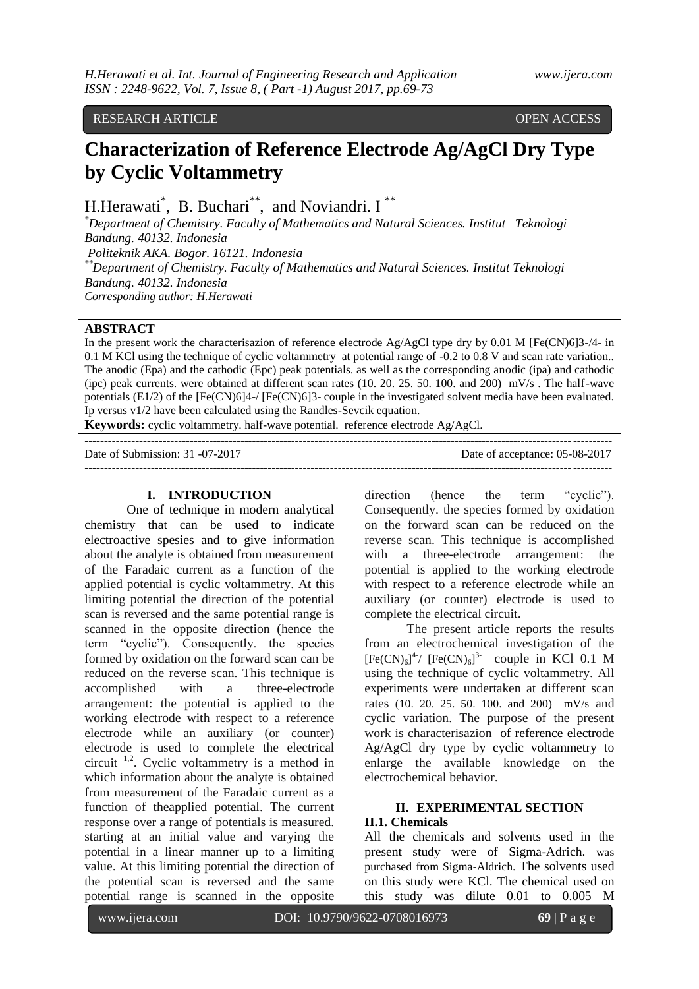RESEARCH ARTICLE OPEN ACCESS

# **Characterization of Reference Electrode Ag/AgCl Dry Type by Cyclic Voltammetry**

H.Herawati\*, B. Buchari\*\*, and Noviandri. I\*\*

*\*Department of Chemistry. Faculty of Mathematics and Natural Sciences. Institut Teknologi Bandung. 40132. Indonesia Politeknik AKA. Bogor. 16121. Indonesia \*\*Department of Chemistry. Faculty of Mathematics and Natural Sciences. Institut Teknologi Bandung. 40132. Indonesia Corresponding author: H.Herawati*

### **ABSTRACT**

In the present work the characterisazion of reference electrode  $Ag/AgCl$  type dry by 0.01 M [Fe(CN)6]3-/4- in 0.1 M KCl using the technique of cyclic voltammetry at potential range of -0.2 to 0.8 V and scan rate variation.. The anodic (Epa) and the cathodic (Epc) peak potentials. as well as the corresponding anodic (ipa) and cathodic (ipc) peak currents. were obtained at different scan rates (10. 20. 25. 50. 100. and 200) mV/s . The half-wave potentials (E1/2) of the [Fe(CN)6]4-/ [Fe(CN)6]3- couple in the investigated solvent media have been evaluated. Ip versus v1/2 have been calculated using the Randles-Sevcik equation.

**Keywords:** cyclic voltammetry. half-wave potential. reference electrode Ag/AgCl.

**---------------------------------------------------------------------------------------------------------------------------------------**

Date of Submission: 31 -07-2017 Date of acceptance: 05-08-2017 **---------------------------------------------------------------------------------------------------------------------------------------**

#### **I. INTRODUCTION**

One of technique in modern analytical chemistry that can be used to indicate electroactive spesies and to give information about the analyte is obtained from measurement of the Faradaic current as a function of the applied potential is cyclic voltammetry. At this limiting potential the direction of the potential scan is reversed and the same potential range is scanned in the opposite direction (hence the term "cyclic"). Consequently. the species formed by oxidation on the forward scan can be reduced on the reverse scan. This technique is accomplished with a three-electrode arrangement: the potential is applied to the working electrode with respect to a reference electrode while an auxiliary (or counter) electrode is used to complete the electrical circuit  $1,2$ . Cyclic voltammetry is a method in which information about the analyte is obtained from measurement of the Faradaic current as a function of theapplied potential. The current response over a range of potentials is measured. starting at an initial value and varying the potential in a linear manner up to a limiting value. At this limiting potential the direction of the potential scan is reversed and the same potential range is scanned in the opposite

direction (hence the term "cyclic"). Consequently. the species formed by oxidation on the forward scan can be reduced on the reverse scan. This technique is accomplished with a three-electrode arrangement: the potential is applied to the working electrode with respect to a reference electrode while an auxiliary (or counter) electrode is used to complete the electrical circuit.

The present article reports the results from an electrochemical investigation of the  $[Fe(CN)<sub>6</sub>]$ <sup>4</sup>/  $[Fe(CN)<sub>6</sub>]$ <sup>3-</sup> couple in KCl 0.1 M using the technique of cyclic voltammetry. All experiments were undertaken at different scan rates (10. 20. 25. 50. 100. and 200) mV/s and cyclic variation. The purpose of the present work is characterisazion of reference electrode Ag/AgCl dry type by cyclic voltammetry to enlarge the available knowledge on the electrochemical behavior.

# **II. EXPERIMENTAL SECTION**

## **II.1. Chemicals**

All the chemicals and solvents used in the present study were of Sigma-Adrich. was purchased from Sigma-Aldrich. The solvents used on this study were KCl. The chemical used on this study was dilute 0.01 to 0.005 M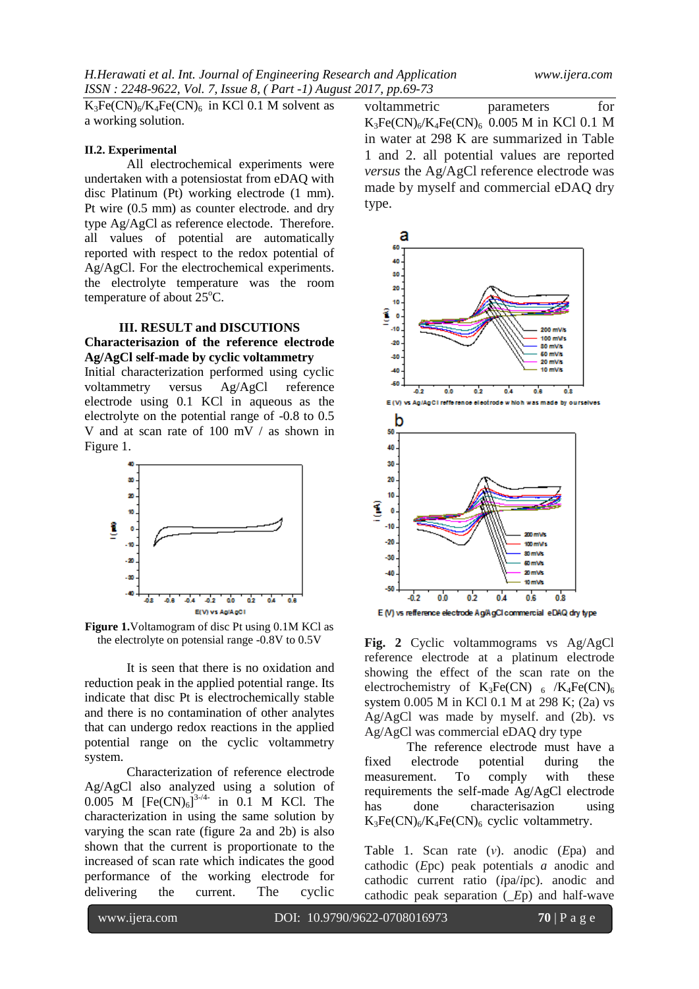$K_3Fe(CN)_6/K_4Fe(CN)_6$  in KCl 0.1 M solvent as a working solution.

#### **II.2. Experimental**

All electrochemical experiments were undertaken with a potensiostat from eDAQ with disc Platinum (Pt) working electrode (1 mm). Pt wire (0.5 mm) as counter electrode. and dry type Ag/AgCl as reference electode. Therefore. all values of potential are automatically reported with respect to the redox potential of Ag/AgCl. For the electrochemical experiments. the electrolyte temperature was the room temperature of about  $25^{\circ}$ C.

#### **III. RESULT and DISCUTIONS Characterisazion of the reference electrode Ag/AgCl self-made by cyclic voltammetry**

Initial characterization performed using cyclic voltammetry versus Ag/AgCl reference electrode using 0.1 KCl in aqueous as the electrolyte on the potential range of -0.8 to 0.5 V and at scan rate of 100 mV / as shown in Figure 1.



**Figure 1.**Voltamogram of disc Pt using 0.1M KCl as the electrolyte on potensial range -0.8V to 0.5V

It is seen that there is no oxidation and reduction peak in the applied potential range. Its indicate that disc Pt is electrochemically stable and there is no contamination of other analytes that can undergo redox reactions in the applied potential range on the cyclic voltammetry system.

Characterization of reference electrode Ag/AgCl also analyzed using a solution of  $0.005$  M  $[Fe(CN)_6]^{3-/4-}$  in 0.1 M KCl. The characterization in using the same solution by varying the scan rate (figure 2a and 2b) is also shown that the current is proportionate to the increased of scan rate which indicates the good performance of the working electrode for delivering the current. The cyclic

voltammetric parameters for  $K_3Fe(CN)_{6}/K_4Fe(CN)_{6}$  0.005 M in KCl 0.1 M in water at 298 K are summarized in Table 1 and 2. all potential values are reported *versus* the Ag/AgCl reference electrode was made by myself and commercial eDAQ dry type.



**Fig. 2** Cyclic voltammograms vs Ag/AgCl reference electrode at a platinum electrode showing the effect of the scan rate on the electrochemistry of  $K_3Fe(CN)_{6}$  /K<sub>4</sub>Fe(CN)<sub>6</sub> system 0.005 M in KCl 0.1 M at 298 K; (2a) vs Ag/AgCl was made by myself. and (2b). vs Ag/AgCl was commercial eDAQ dry type

The reference electrode must have a fixed electrode potential during the measurement. To comply with these requirements the self-made Ag/AgCl electrode has done characterisazion using  $K_3Fe(CN)_6/K_4Fe(CN)_6$  cyclic voltammetry.

Table 1. Scan rate (*ν*). anodic (*E*pa) and cathodic (*E*pc) peak potentials *a* anodic and cathodic current ratio (*i*pa/*i*pc). anodic and cathodic peak separation (*\_E*p) and half-wave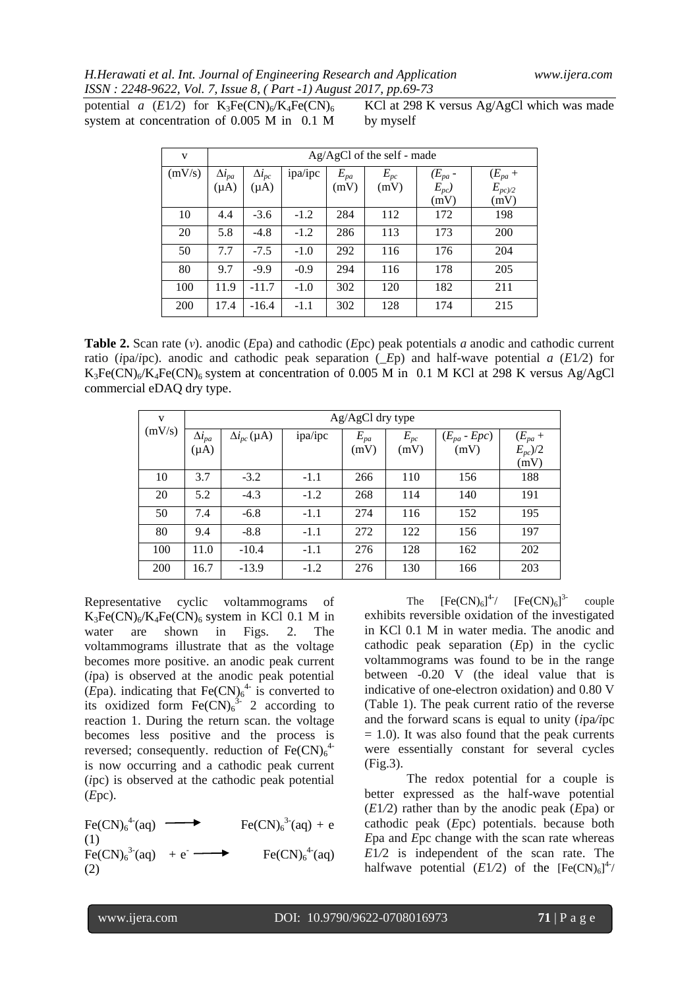#### *H.Herawati et al. Int. Journal of Engineering Research and Application www.ijera.com ISSN : 2248-9622, Vol. 7, Issue 8, ( Part -1) August 2017, pp.69-73*

potential *a*  $(E1/2)$  for  $K_3Fe(CN)_6/K_4Fe(CN)_6$ system at concentration of 0.005 M in 0.1 M

KCl at 298 K versus Ag/AgCl which was made by myself

| V      | $Ag/AgCl$ of the self - made |                              |         |                  |                  |                             |                                   |  |  |  |  |
|--------|------------------------------|------------------------------|---------|------------------|------------------|-----------------------------|-----------------------------------|--|--|--|--|
| (mV/s) | $\Delta i_{pa}$<br>$(\mu A)$ | $\Delta i_{pc}$<br>$(\mu A)$ | ipa/ipc | $E_{pa}$<br>(mV) | $E_{pc}$<br>(mV) | $(E_{pa} - E_{pc})$<br>(mV) | $(E_{pa} +$<br>$E_{pc/2}$<br>(mV) |  |  |  |  |
| 10     | 4.4                          | $-3.6$                       | $-1.2$  | 284              | 112              | 172                         | 198                               |  |  |  |  |
| 20     | 5.8                          | $-4.8$                       | $-1.2$  | 286              | 113              | 173                         | 200                               |  |  |  |  |
| 50     | 7.7                          | $-7.5$                       | $-1.0$  | 292              | 116              | 176                         | 204                               |  |  |  |  |
| 80     | 9.7                          | $-9.9$                       | $-0.9$  | 294              | 116              | 178                         | 205                               |  |  |  |  |
| 100    | 11.9                         | $-11.7$                      | $-1.0$  | 302              | 120              | 182                         | 211                               |  |  |  |  |
| 200    | 17.4                         | $-16.4$                      | $-1.1$  | 302              | 128              | 174                         | 215                               |  |  |  |  |

**Table 2.** Scan rate (*ν*). anodic (*E*pa) and cathodic (*E*pc) peak potentials *a* anodic and cathodic current ratio (*i*pa/*i*pc). anodic and cathodic peak separation (*\_E*p) and half-wave potential *a* (*E*1*/*2) for  $K_3Fe(CN)_{6}/K_4Fe(CN)_{6}$  system at concentration of 0.005 M in 0.1 M KCl at 298 K versus Ag/AgCl commercial eDAQ dry type.

| V      |                 | Ag/AgCl dry type       |         |          |          |                  |              |  |  |  |  |
|--------|-----------------|------------------------|---------|----------|----------|------------------|--------------|--|--|--|--|
| (mV/s) | $\Delta i_{pa}$ | $\Delta i_{pc}(\mu A)$ | ipa/ipc | $E_{pa}$ | $E_{pc}$ | $(E_{pa} - Epc)$ | $(E_{pa} +$  |  |  |  |  |
|        | $(\mu A)$       |                        |         | (mV)     | (mV)     | (mV)             | $E_{pc}$ )/2 |  |  |  |  |
|        |                 |                        |         |          |          |                  | (mV)         |  |  |  |  |
| 10     | 3.7             | $-3.2$                 | $-1.1$  | 266      | 110      | 156              | 188          |  |  |  |  |
| 20     | 5.2             | $-4.3$                 | $-1.2$  | 268      | 114      | 140              | 191          |  |  |  |  |
| 50     | 7.4             | $-6.8$                 | $-1.1$  | 274      | 116      | 152              | 195          |  |  |  |  |
| 80     | 9.4             | $-8.8$                 | $-1.1$  | 272      | 122      | 156              | 197          |  |  |  |  |
| 100    | 11.0            | $-10.4$                | $-1.1$  | 276      | 128      | 162              | 202          |  |  |  |  |
| 200    | 16.7            | $-13.9$                | $-1.2$  | 276      | 130      | 166              | 203          |  |  |  |  |

Representative cyclic voltammograms of  $K_3Fe(CN)_{6}/K_4Fe(CN)_{6}$  system in KCl 0.1 M in water are shown in Figs. 2. The voltammograms illustrate that as the voltage becomes more positive. an anodic peak current (*i*pa) is observed at the anodic peak potential (*E*pa). indicating that  $\text{Fe(CN)}_6^{4-}$  is converted to its oxidized form  $\text{Fe(CN)}_6^{3-}$  2 according to reaction 1. During the return scan. the voltage becomes less positive and the process is reversed; consequently. reduction of  $Fe(CN)<sub>6</sub><sup>4</sup>$ is now occurring and a cathodic peak current (*i*pc) is observed at the cathodic peak potential (*E*pc).

 $\text{Fe(CN)}_{6}^{4}$  (aq)  $\longrightarrow$   $\text{Fe(CN)}_{6}$  $3-(aq) + e$ (1)  $Fe(CN)_{6}^{3}(aq) + e^{-}$  $\longrightarrow$  Fe(CN)<sub>6</sub><sup>4-</sup>(aq) (2)

The  $[Fe(CN)_6]^{4-}/ [Fe(CN)_6]^{3-}$  couple exhibits reversible oxidation of the investigated in KCl 0.1 M in water media. The anodic and cathodic peak separation (*E*p) in the cyclic voltammograms was found to be in the range between -0.20 V (the ideal value that is indicative of one-electron oxidation) and 0.80 V (Table 1). The peak current ratio of the reverse and the forward scans is equal to unity (*i*pa*/i*pc  $= 1.0$ ). It was also found that the peak currents were essentially constant for several cycles (Fig.3).

The redox potential for a couple is better expressed as the half-wave potential (*E*1*/*2) rather than by the anodic peak (*E*pa) or cathodic peak (*E*pc) potentials. because both *E*pa and *E*pc change with the scan rate whereas *E*1*/*2 is independent of the scan rate. The halfwave potential  $(E1/2)$  of the  $[Fe(CN)_6]^4/$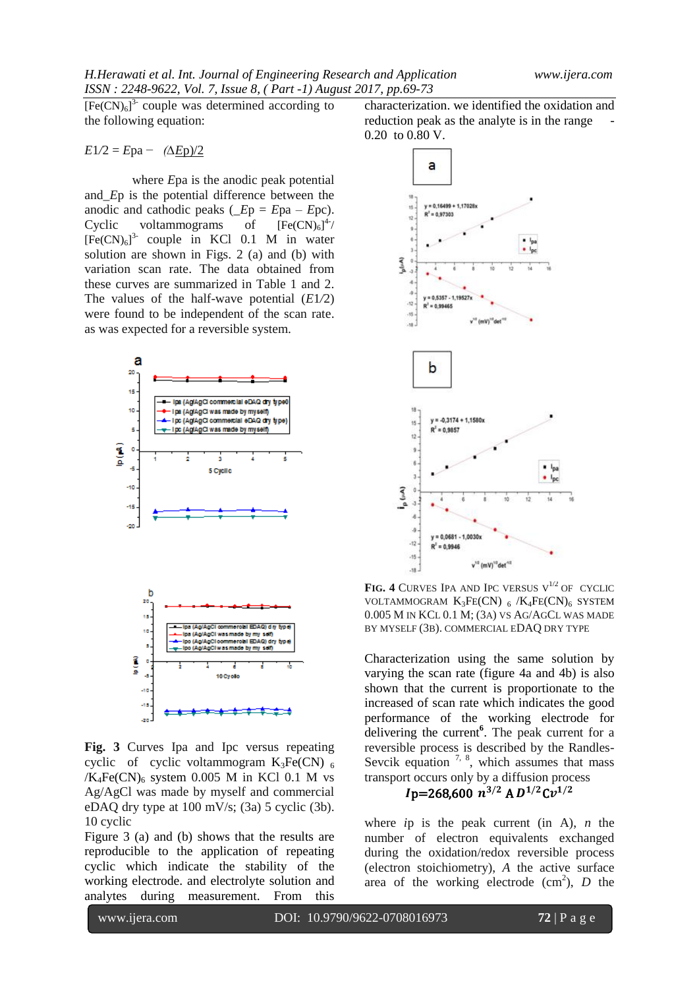$[Fe(CN)<sub>6</sub>]$ <sup>3-</sup> couple was determined according to the following equation:

$$
E1/2 = Epa - (\Delta Ep)/2
$$

where *E*pa is the anodic peak potential and*\_E*p is the potential difference between the anodic and cathodic peaks  $(Ep = Epa - Epc)$ .  $Cyclic$  voltammograms of 4- /  $[Fe(CN)<sub>6</sub>]$ <sup>3</sup> couple in KCl 0.1 M in water solution are shown in Figs. 2 (a) and (b) with variation scan rate. The data obtained from these curves are summarized in Table 1 and 2. The values of the half-wave potential (*E*1*/*2) were found to be independent of the scan rate. as was expected for a reversible system.





**Fig. 3** Curves Ipa and Ipc versus repeating cyclic of cyclic voltammogram  $K_3Fe(CN)_{6}$  $/K_4Fe(CN)_6$  system 0.005 M in KCl 0.1 M vs Ag/AgCl was made by myself and commercial eDAQ dry type at 100 mV/s; (3a) 5 cyclic (3b). 10 cyclic

Figure 3 (a) and (b) shows that the results are reproducible to the application of repeating cyclic which indicate the stability of the working electrode. and electrolyte solution and analytes during measurement. From this

characterization. we identified the oxidation and reduction peak as the analyte is in the range 0.20 to 0.80 V.



**FIG. 4 CURVES IPA AND IPC VERSUS**  $V^{1/2}$  **OF CYCLIC** VOLTAMMOGRAM  $K_3FE(CN)$  6 / $K_4FE(CN)_6$  SYSTEM 0.005 M IN KCL 0.1 M; (3A) VS AG/AGCL WAS MADE BY MYSELF (3B). COMMERCIAL EDAQ DRY TYPE

Characterization using the same solution by varying the scan rate (figure 4a and 4b) is also shown that the current is proportionate to the increased of scan rate which indicates the good performance of the working electrode for delivering the current**<sup>6</sup>** . The peak current for a reversible process is described by the Randles-Sevcik equation  $7, 8$ , which assumes that mass transport occurs only by a diffusion process

## $Ip=268,600~n^{3/2}$  A  $D^{1/2}Cv^{1/2}$

where *i*p is the peak current (in A), *n* the number of electron equivalents exchanged during the oxidation/redox reversible process (electron stoichiometry), *A* the active surface area of the working electrode  $(cm<sup>2</sup>)$ , *D* the